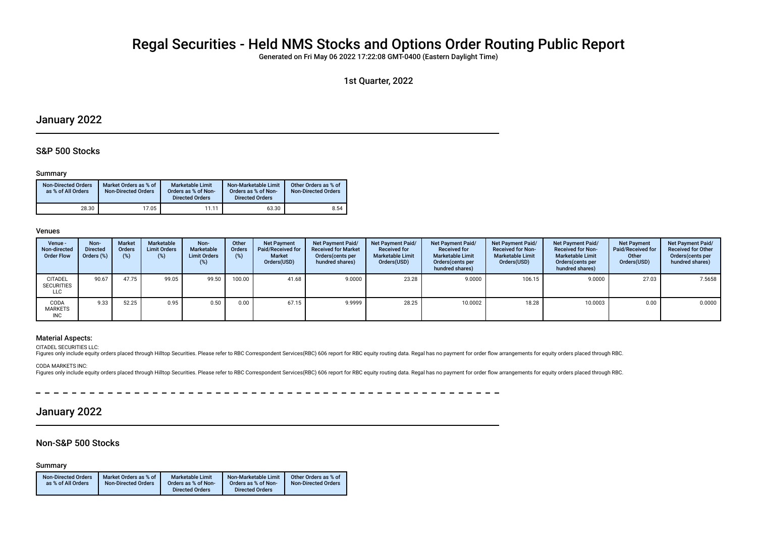# Regal Securities - Held NMS Stocks and Options Order Routing Public Report

Generated on Fri May 06 2022 17:22:08 GMT-0400 (Eastern Daylight Time)

1st Quarter, 2022

## January 2022

### S&P 500 Stocks

#### Summary

| <b>Non-Directed Orders</b><br>as % of All Orders | Market Orders as % of<br><b>Non-Directed Orders</b> | <b>Marketable Limit</b><br>Orders as % of Non-<br><b>Directed Orders</b> | Non-Marketable Limit<br>Orders as % of Non-<br><b>Directed Orders</b> | Other Orders as % of<br><b>Non-Directed Orders</b> |
|--------------------------------------------------|-----------------------------------------------------|--------------------------------------------------------------------------|-----------------------------------------------------------------------|----------------------------------------------------|
| 28.30                                            | 17.05                                               | 11.11                                                                    | 63.30                                                                 | 8.54                                               |

#### Venues

| Venue -<br>Non-directed<br><b>Order Flow</b>      | Non-<br><b>Directed</b><br>Orders (%) | <b>Market</b><br><b>Orders</b><br>$(\%)$ | Marketable<br><b>Limit Orders</b><br>(%) | Non-<br>Marketable<br><b>Limit Orders</b><br>$(\%)$ | Other<br>Orders<br>(%) | <b>Net Payment</b><br>Paid/Received for<br><b>Market</b><br>Orders(USD) | Net Payment Paid/<br><b>Received for Market</b><br>Orders (cents per<br>hundred shares) | Net Payment Paid/<br><b>Received for</b><br><b>Marketable Limit</b><br>Orders(USD) | Net Payment Paid/<br><b>Received for</b><br><b>Marketable Limit</b><br>Orders (cents per<br>hundred shares) | Net Payment Paid/<br><b>Received for Non-</b><br><b>Marketable Limit</b><br>Orders(USD) | Net Payment Paid/<br><b>Received for Non-</b><br><b>Marketable Limit</b><br>Orders (cents per<br>hundred shares) | <b>Net Payment</b><br>Paid/Received for<br>Other<br>Orders(USD) | <b>Net Payment Paid/</b><br><b>Received for Other</b><br>Orders (cents per<br>hundred shares) |
|---------------------------------------------------|---------------------------------------|------------------------------------------|------------------------------------------|-----------------------------------------------------|------------------------|-------------------------------------------------------------------------|-----------------------------------------------------------------------------------------|------------------------------------------------------------------------------------|-------------------------------------------------------------------------------------------------------------|-----------------------------------------------------------------------------------------|------------------------------------------------------------------------------------------------------------------|-----------------------------------------------------------------|-----------------------------------------------------------------------------------------------|
| <b>CITADEL</b><br><b>SECURITIES</b><br><b>LLC</b> | 90.67                                 | 47.75                                    | 99.05                                    | 99.50                                               | 100.00                 | 41.68                                                                   | 9.0000                                                                                  | 23.28                                                                              | 9.0000                                                                                                      | 106.15                                                                                  | 9.0000                                                                                                           | 27.03                                                           | 7.5658                                                                                        |
| CODA<br><b>MARKETS</b><br><b>INC</b>              | 9.33                                  | 52.25                                    | 0.95                                     | 0.50                                                | 0.00                   | 67.15                                                                   | 9.9999                                                                                  | 28.25                                                                              | 10.0002                                                                                                     | 18.28                                                                                   | 10.0003                                                                                                          | 0.00                                                            | 0.0000                                                                                        |

\_\_\_\_\_\_\_\_\_\_\_\_\_\_\_\_\_

#### Material Aspects:

CITADEL SECURITIES LLC:

Figures only include equity orders placed through Hilltop Securities. Please refer to RBC Correspondent Services(RBC) 606 report for RBC equity routing data. Regal has no payment for order flow arrangements for equity orde

CODA MARKETS INC:

Figures only include equity orders placed through Hilltop Securities. Please refer to RBC Correspondent Services(RBC) 606 report for RBC equity routing data. Regal has no payment for order flow arrangements for equity orde

## January 2022

### Non-S&P 500 Stocks

Summary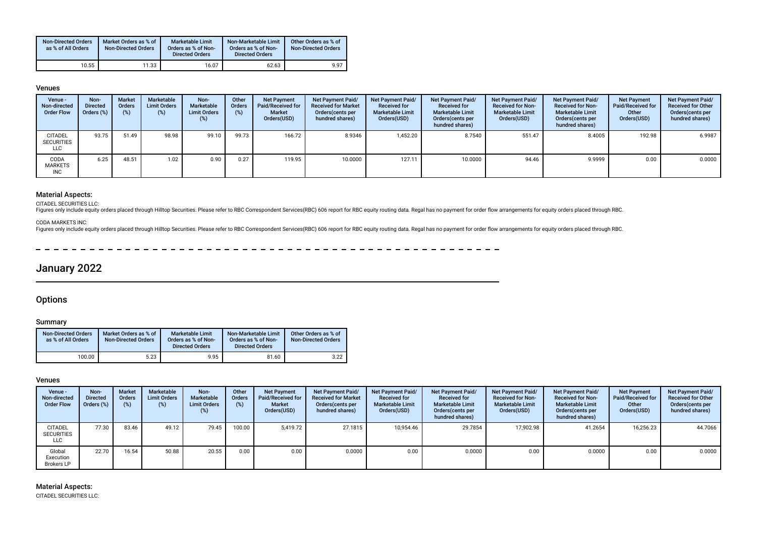| <b>Non-Directed Orders</b><br>as % of All Orders | Market Orders as % of<br><b>Non-Directed Orders</b> | Marketable Limit<br>Orders as % of Non-<br><b>Directed Orders</b> | Non-Marketable Limit<br>Orders as % of Non-<br><b>Directed Orders</b> | Other Orders as % of<br><b>Non-Directed Orders</b> |
|--------------------------------------------------|-----------------------------------------------------|-------------------------------------------------------------------|-----------------------------------------------------------------------|----------------------------------------------------|
| 10.55                                            | 11.33                                               | 16.07                                                             | 62.63                                                                 | 9.97                                               |

#### Venues

| Venue -<br>Non-directed<br><b>Order Flow</b>      | Non-<br><b>Directed</b><br>Orders (%) | <b>Market</b><br><b>Orders</b> | Marketable<br><b>Limit Orders</b><br>(%) | Non-<br>Marketable<br><b>Limit Orders</b><br>(%) | Other<br>Orders<br>(%) | <b>Net Payment</b><br>Paid/Received for<br><b>Market</b><br>Orders(USD) | Net Payment Paid/<br><b>Received for Market</b><br>Orders (cents per<br>hundred shares) | Net Payment Paid/<br><b>Received for</b><br><b>Marketable Limit</b><br>Orders(USD) | Net Payment Paid/<br><b>Received for</b><br><b>Marketable Limit</b><br>Orders (cents per<br>hundred shares) | <b>Net Payment Paid/</b><br><b>Received for Non-</b><br><b>Marketable Limit</b><br>Orders(USD) | <b>Net Payment Paid/</b><br><b>Received for Non-</b><br><b>Marketable Limit</b><br>Orders (cents per<br>hundred shares) | <b>Net Payment</b><br>Paid/Received for<br>Other<br>Orders(USD) | <b>Net Payment Paid/</b><br><b>Received for Other</b><br>Orders(cents per<br>hundred shares) |
|---------------------------------------------------|---------------------------------------|--------------------------------|------------------------------------------|--------------------------------------------------|------------------------|-------------------------------------------------------------------------|-----------------------------------------------------------------------------------------|------------------------------------------------------------------------------------|-------------------------------------------------------------------------------------------------------------|------------------------------------------------------------------------------------------------|-------------------------------------------------------------------------------------------------------------------------|-----------------------------------------------------------------|----------------------------------------------------------------------------------------------|
| <b>CITADEL</b><br><b>SECURITIES</b><br><b>LLC</b> | 93.75                                 | 51.49                          | 98.98                                    | 99.10                                            | 99.73                  | 166.72                                                                  | 8.9346                                                                                  | 1,452.20                                                                           | 8.7540                                                                                                      | 551.47                                                                                         | 8.4005                                                                                                                  | 192.98                                                          | 6.9987                                                                                       |
| CODA<br>MARKETS<br><b>INC</b>                     | 6.25                                  | 48.51                          | $1.02$ .                                 | 0.90                                             | 0.27                   | 119.95                                                                  | 10.0000                                                                                 | 127.11                                                                             | 10.0000                                                                                                     | 94.46                                                                                          | 9.9999                                                                                                                  | 0.00                                                            | 0.0000                                                                                       |

### Material Aspects:

CITADEL SECURITIES LLC:<br>Figures only include equity orders placed through Hilltop Securities. Please refer to RBC Correspondent Services(RBC) 606 report for RBC equity routing data. Regal has no payment for order flow arra

CODA MARKETS INC:

Figures only include equity orders placed through Hilltop Securities. Please refer to RBC Correspondent Services(RBC) 606 report for RBC equity routing data. Regal has no payment for order flow arrangements for equity orde

 $- - - - - - -$ 

## January 2022

### **Options**

#### Summary

| <b>Non-Directed Orders</b><br>as % of All Orders | Market Orders as % of<br><b>Non-Directed Orders</b> | <b>Marketable Limit</b><br>Orders as % of Non-<br><b>Directed Orders</b> | Non-Marketable Limit<br>Orders as % of Non-<br><b>Directed Orders</b> | Other Orders as % of<br><b>Non-Directed Orders</b> |
|--------------------------------------------------|-----------------------------------------------------|--------------------------------------------------------------------------|-----------------------------------------------------------------------|----------------------------------------------------|
| 100.00                                           | 5.23                                                | 9.95                                                                     | 81.60                                                                 | 3.22                                               |

#### Venues

| Venue -<br>Non-directed<br><b>Order Flow</b>      | Non-<br><b>Directed</b><br>Orders (%) | <b>Market</b><br>Orders<br>$(\%)$ | Marketable<br><b>Limit Orders</b><br>$(\%)$ | Non-<br><b>Marketable</b><br><b>Limit Orders</b><br>(%) | Other<br>Orders<br>$(\%)$ | <b>Net Payment</b><br>Paid/Received for<br><b>Market</b><br>Orders(USD) | Net Payment Paid/<br><b>Received for Market</b><br>Orders (cents per<br>hundred shares) | <b>Net Payment Paid/</b><br><b>Received for</b><br><b>Marketable Limit</b><br>Orders(USD) | Net Payment Paid/<br><b>Received for</b><br><b>Marketable Limit</b><br>Orders (cents per<br>hundred shares) | Net Payment Paid/<br><b>Received for Non-</b><br><b>Marketable Limit</b><br>Orders(USD) | <b>Net Payment Paid/</b><br><b>Received for Non-</b><br><b>Marketable Limit</b><br>Orders(cents per<br>hundred shares) | <b>Net Payment</b><br>Paid/Received for<br>Other<br>Orders(USD) | Net Payment Paid/<br><b>Received for Other</b><br>Orders(cents per<br>hundred shares) |
|---------------------------------------------------|---------------------------------------|-----------------------------------|---------------------------------------------|---------------------------------------------------------|---------------------------|-------------------------------------------------------------------------|-----------------------------------------------------------------------------------------|-------------------------------------------------------------------------------------------|-------------------------------------------------------------------------------------------------------------|-----------------------------------------------------------------------------------------|------------------------------------------------------------------------------------------------------------------------|-----------------------------------------------------------------|---------------------------------------------------------------------------------------|
| <b>CITADEL</b><br><b>SECURITIES</b><br><b>LLC</b> | 77.30                                 | 83.46                             | 49.12                                       | 79.45                                                   | 100.00                    | 5.419.72                                                                | 27.1815                                                                                 | 10.954.46                                                                                 | 29.7854                                                                                                     | 17.902.98                                                                               | 41.2654                                                                                                                | 16,256.23                                                       | 44.7066                                                                               |
| Global<br>Execution<br><b>Brokers LP</b>          | 22.70                                 | 16.54                             | 50.88                                       | 20.55                                                   | 0.00                      | 0.00                                                                    | 0.0000                                                                                  | 0.00                                                                                      | 0.0000                                                                                                      | 0.00                                                                                    | 0.0000                                                                                                                 | 0.00                                                            | 0.0000                                                                                |

Material Aspects: CITADEL SECURITIES LLC: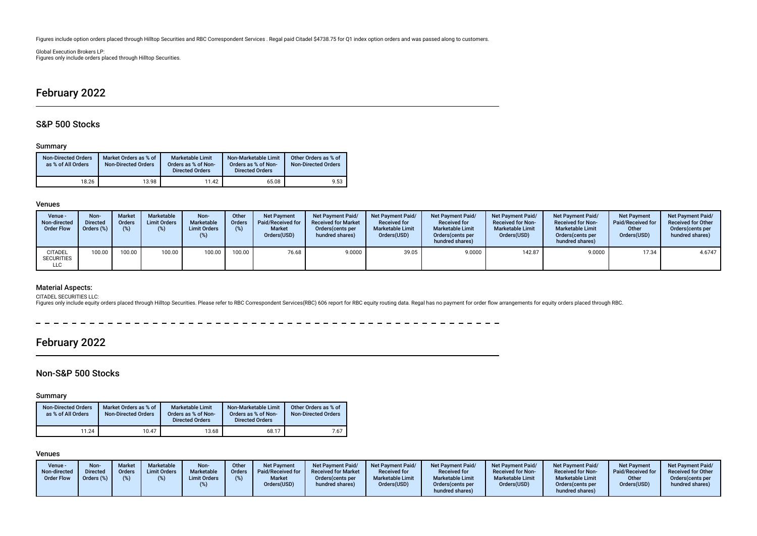Figures include option orders placed through Hilltop Securities and RBC Correspondent Services . Regal paid Citadel \$4738.75 for Q1 index option orders and was passed along to customers.

Global Execution Brokers LP: Figures only include orders placed through Hilltop Securities.

## February 2022

## S&P 500 Stocks

#### Summary

| <b>Non-Directed Orders</b><br>as % of All Orders | Market Orders as % of<br><b>Non-Directed Orders</b> | <b>Marketable Limit</b><br>Orders as % of Non-<br><b>Directed Orders</b> | Non-Marketable Limit<br>Orders as % of Non-<br><b>Directed Orders</b> | Other Orders as % of<br><b>Non-Directed Orders</b> |
|--------------------------------------------------|-----------------------------------------------------|--------------------------------------------------------------------------|-----------------------------------------------------------------------|----------------------------------------------------|
| 18.26                                            | 13.98                                               | 11.42                                                                    | 65.08                                                                 | 9.53                                               |

#### Venues

| Venue -<br>Non-directed<br><b>Order Flow</b> | Non-<br><b>Directed</b><br>Orders (%) | <b>Market</b><br><b>Orders</b><br>(9) | Marketable<br><b>Limit Orders</b> | Non-<br><b>Marketable</b><br><b>Limit Orders</b><br>(%) | Other<br><b>Orders</b><br>(%) | <b>Net Payment</b><br>Paid/Received for<br><b>Market</b><br>Orders(USD) | <b>Net Payment Paid/</b><br><b>Received for Market</b><br>Orders (cents per<br>hundred shares) | Net Payment Paid/<br><b>Received for</b><br><b>Marketable Limit</b><br>Orders(USD) | <b>Net Payment Paid/</b><br><b>Received for</b><br><b>Marketable Limit</b><br>Orders (cents per<br>hundred shares) | <b>Net Payment Paid/</b><br><b>Received for Non-</b><br><b>Marketable Limit</b><br>Orders(USD) | <b>Net Payment Paid/</b><br><b>Received for Non-</b><br><b>Marketable Limit</b><br>Orders(cents per<br>hundred shares) | <b>Net Payment</b><br>Paid/Received for<br>Other<br>Orders(USD) | <b>Net Payment Paid/</b><br><b>Received for Other</b><br>Orders(cents per<br>hundred shares) |
|----------------------------------------------|---------------------------------------|---------------------------------------|-----------------------------------|---------------------------------------------------------|-------------------------------|-------------------------------------------------------------------------|------------------------------------------------------------------------------------------------|------------------------------------------------------------------------------------|--------------------------------------------------------------------------------------------------------------------|------------------------------------------------------------------------------------------------|------------------------------------------------------------------------------------------------------------------------|-----------------------------------------------------------------|----------------------------------------------------------------------------------------------|
| CITADEL<br><b>SECURITIES</b><br>LLC          | 100.00                                | 00.00'                                | 100.00                            | 100.00                                                  | 100.00                        | 76.68                                                                   | 9.0000                                                                                         | 39.05                                                                              | 9.0000                                                                                                             | 142.87                                                                                         | 9.0000                                                                                                                 | 17.34                                                           | 4.6747                                                                                       |

#### Material Aspects:

CITADEL SECURITIES LLC:<br>Figures only include equity orders placed through Hilltop Securities. Please refer to RBC Correspondent Services(RBC) 606 report for RBC equity routing data. Regal has no payment for order flow arra

 $\frac{1}{2} \left( \frac{1}{2} \right) \left( \frac{1}{2} \right) \left( \frac{1}{2} \right) \left( \frac{1}{2} \right) \left( \frac{1}{2} \right) \left( \frac{1}{2} \right) \left( \frac{1}{2} \right) \left( \frac{1}{2} \right) \left( \frac{1}{2} \right) \left( \frac{1}{2} \right) \left( \frac{1}{2} \right) \left( \frac{1}{2} \right) \left( \frac{1}{2} \right) \left( \frac{1}{2} \right) \left( \frac{1}{2} \right) \left( \frac{1}{2} \right) \left( \frac$ ----------------

## February 2022

## Non-S&P 500 Stocks

#### Summary

| <b>Non-Directed Orders</b><br>as % of All Orders | Market Orders as % of<br><b>Non-Directed Orders</b> | <b>Marketable Limit</b><br>Orders as % of Non-<br><b>Directed Orders</b> | Non-Marketable Limit<br>Orders as % of Non-<br><b>Directed Orders</b> | Other Orders as % of<br><b>Non-Directed Orders</b> |
|--------------------------------------------------|-----------------------------------------------------|--------------------------------------------------------------------------|-----------------------------------------------------------------------|----------------------------------------------------|
| 11.24                                            | 10.47                                               | 13.68                                                                    | 68.17                                                                 | 7.67                                               |

### Venues

| Venue -<br>Non-directed<br><b>Order Flow</b> | Non-<br><b>Marketable</b><br>Non-<br><b>Market</b><br><b>Limit Orders</b><br>Marketable<br><b>Directed</b><br><b>Orders</b><br>Orders (%)<br><b>Limit Orders</b> | Other<br><b>Net Payment</b><br><b>Paid/Received for</b><br>Orders<br>(%)<br><b>Market</b><br>Orders(USD) | <b>Net Payment Paid/</b><br><b>Received for Market</b><br>Orders (cents per<br>hundred shares) | Net Payment Paid/<br><b>Net Payment Paid/</b><br><b>Received for</b><br><b>Received for</b><br><b>Marketable Limit</b><br><b>Marketable Limit</b><br>Orders(USD)<br>Orders (cents per<br>hundred shares) | <b>Net Payment Paid/</b><br><b>Received for Non-</b><br><b>Marketable Limit</b><br>Orders(USD) | <b>Net Payment Paid/</b><br><b>Received for Non-</b><br><b>Marketable Limit</b><br>Orders(cents per<br>hundred shares) | <b>Net Payment</b><br>Paid/Received for<br>Other<br>Orders(USD) | <b>Net Payment Paid/</b><br><b>Received for Other</b><br>Orders(cents per<br>hundred shares) |
|----------------------------------------------|------------------------------------------------------------------------------------------------------------------------------------------------------------------|----------------------------------------------------------------------------------------------------------|------------------------------------------------------------------------------------------------|----------------------------------------------------------------------------------------------------------------------------------------------------------------------------------------------------------|------------------------------------------------------------------------------------------------|------------------------------------------------------------------------------------------------------------------------|-----------------------------------------------------------------|----------------------------------------------------------------------------------------------|
|----------------------------------------------|------------------------------------------------------------------------------------------------------------------------------------------------------------------|----------------------------------------------------------------------------------------------------------|------------------------------------------------------------------------------------------------|----------------------------------------------------------------------------------------------------------------------------------------------------------------------------------------------------------|------------------------------------------------------------------------------------------------|------------------------------------------------------------------------------------------------------------------------|-----------------------------------------------------------------|----------------------------------------------------------------------------------------------|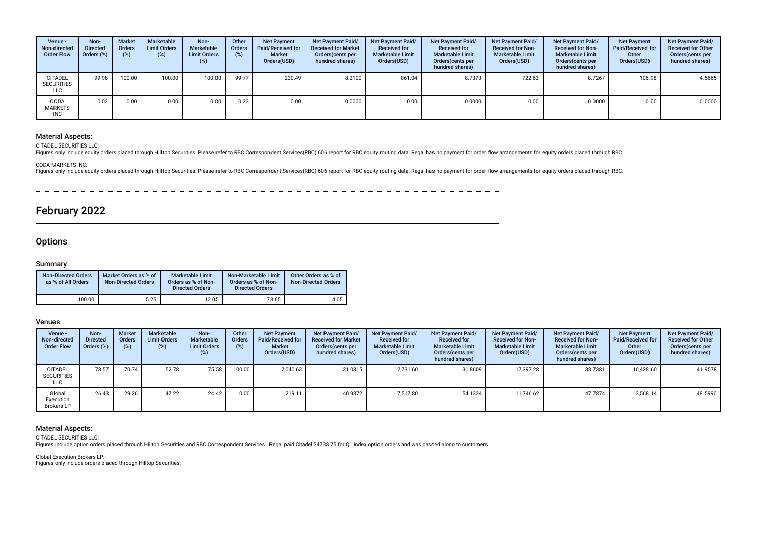| Venue -<br>Non-directed<br><b>Order Flow</b>      | Non-<br><b>Directed</b><br>Orders (%) | <b>Market</b><br><b>Orders</b><br>(%) | Marketable<br><b>Limit Orders</b><br>(%) | Non-<br>Marketable<br><b>Limit Orders</b><br>(%) | Other<br>Orders<br>(%) | <b>Net Payment</b><br>Paid/Received for<br><b>Market</b><br>Orders(USD) | <b>Net Payment Paid/</b><br><b>Received for Market</b><br>Orders (cents per<br>hundred shares) | <b>Net Payment Paid/</b><br><b>Received for</b><br><b>Marketable Limit</b><br>Orders(USD) | Net Payment Paid/<br><b>Received for</b><br><b>Marketable Limit</b><br>Orders(cents per<br>hundred shares) | <b>Net Payment Paid/</b><br><b>Received for Non-</b><br><b>Marketable Limit</b><br>Orders(USD) | <b>Net Payment Paid/</b><br><b>Received for Non-</b><br><b>Marketable Limit</b><br>Orders (cents per<br>hundred shares) | <b>Net Payment</b><br>Paid/Received for<br>Other<br>Orders(USD) | Net Payment Paid/<br><b>Received for Other</b><br>Orders(cents per<br>hundred shares) |
|---------------------------------------------------|---------------------------------------|---------------------------------------|------------------------------------------|--------------------------------------------------|------------------------|-------------------------------------------------------------------------|------------------------------------------------------------------------------------------------|-------------------------------------------------------------------------------------------|------------------------------------------------------------------------------------------------------------|------------------------------------------------------------------------------------------------|-------------------------------------------------------------------------------------------------------------------------|-----------------------------------------------------------------|---------------------------------------------------------------------------------------|
| <b>CITADEL</b><br><b>SECURITIES</b><br><b>LLC</b> | 99.98                                 | 100.00                                | 100.00                                   | 100.00                                           | 99.77                  | 230.49                                                                  | 8.2100                                                                                         | 861.04                                                                                    | 8.7373                                                                                                     | 722.63                                                                                         | 8.7267                                                                                                                  | 106.98                                                          | 4.5665                                                                                |
| CODA<br><b>MARKETS</b><br><b>INC</b>              | 0.02                                  | 0.00                                  | 0.00                                     | 0.00                                             | 0.23                   | 0.00                                                                    | 0.0000                                                                                         | 0.00                                                                                      | 0.0000                                                                                                     | 0.00                                                                                           | 0.0000                                                                                                                  | 0.00                                                            | 0.0000                                                                                |

#### Material Aspects:

CITADEL SECURITIES LLC:

Figures only include equity orders placed through Hilltop Securities. Please refer to RBC Correspondent Services(RBC) 606 report for RBC equity routing data. Regal has no payment for order flow arrangements for equity orde

#### CODA MARKETS INC:

Figures only include equity orders placed through Hilltop Securities. Please refer to RBC Correspondent Services(RBC) 606 report for RBC equity routing data. Regal has no payment for order flow arrangements for equity orde

 $-$ 

## February 2022

### **Options**

#### Summary

| <b>Non-Directed Orders</b><br>as % of All Orders | Market Orders as % of<br><b>Non-Directed Orders</b> | <b>Marketable Limit</b><br>Orders as % of Non-<br><b>Directed Orders</b> | Non-Marketable Limit<br>Orders as % of Non-<br><b>Directed Orders</b> | Other Orders as % of<br><b>Non-Directed Orders</b> |
|--------------------------------------------------|-----------------------------------------------------|--------------------------------------------------------------------------|-----------------------------------------------------------------------|----------------------------------------------------|
| 100.00                                           | 5.25                                                | 12.05                                                                    | 78.65                                                                 | 4.05                                               |

#### Venues

| Venue -<br>Non-directed<br><b>Order Flow</b> | Non-<br><b>Directed</b><br>Orders (%) | <b>Market</b><br>Orders<br>$(\%)$ | Marketable<br><b>Limit Orders</b><br>(%) | Non-<br>Marketable<br><b>Limit Orders</b><br>(%) | Other<br><b>Orders</b><br>(%) | <b>Net Payment</b><br><b>Paid/Received for</b><br><b>Market</b><br>Orders(USD) | Net Payment Paid/<br><b>Received for Market</b><br>Orders (cents per<br>hundred shares) | <b>Net Payment Paid/</b><br><b>Received for</b><br><b>Marketable Limit</b><br>Orders(USD) | Net Payment Paid/<br><b>Received for</b><br><b>Marketable Limit</b><br>Orders (cents per<br>hundred shares) | <b>Net Payment Paid/</b><br><b>Received for Non-</b><br><b>Marketable Limit</b><br>Orders(USD) | <b>Net Payment Paid/</b><br><b>Received for Non-</b><br><b>Marketable Limit</b><br>Orders(cents per<br>hundred shares) | <b>Net Payment</b><br><b>Paid/Received for</b><br>Other<br>Orders(USD) | Net Payment Paid/<br><b>Received for Other</b><br>Orders (cents per<br>hundred shares) |
|----------------------------------------------|---------------------------------------|-----------------------------------|------------------------------------------|--------------------------------------------------|-------------------------------|--------------------------------------------------------------------------------|-----------------------------------------------------------------------------------------|-------------------------------------------------------------------------------------------|-------------------------------------------------------------------------------------------------------------|------------------------------------------------------------------------------------------------|------------------------------------------------------------------------------------------------------------------------|------------------------------------------------------------------------|----------------------------------------------------------------------------------------|
| <b>CITADEL</b><br><b>SECURITIES</b><br>LLC   | 73.57                                 | 70.74                             | 52.78                                    | 75.58                                            | 100.00                        | 2.040.63                                                                       | 31.0315                                                                                 | 12.731.60                                                                                 | 31.8609                                                                                                     | 17.397.28                                                                                      | 38.7381                                                                                                                | 10,428.60                                                              | 41.9578                                                                                |
| Global<br>Execution<br><b>Brokers LP</b>     | 26.43                                 | 29.26                             | 47.22                                    | 24.42                                            | 0.00                          | 1.219.11                                                                       | 40.9372                                                                                 | 17.517.80                                                                                 | 54.1324                                                                                                     | 11.746.62                                                                                      | 47.7874                                                                                                                | 3,568.14                                                               | 48.5990                                                                                |

#### Material Aspects:

CITADEL SECURITIES LLC:

Figures include option orders placed through Hilltop Securities and RBC Correspondent Services . Regal paid Citadel \$4738.75 for Q1 index option orders and was passed along to customers.

Global Execution Brokers LP: Figures only include orders placed through Hilltop Securities.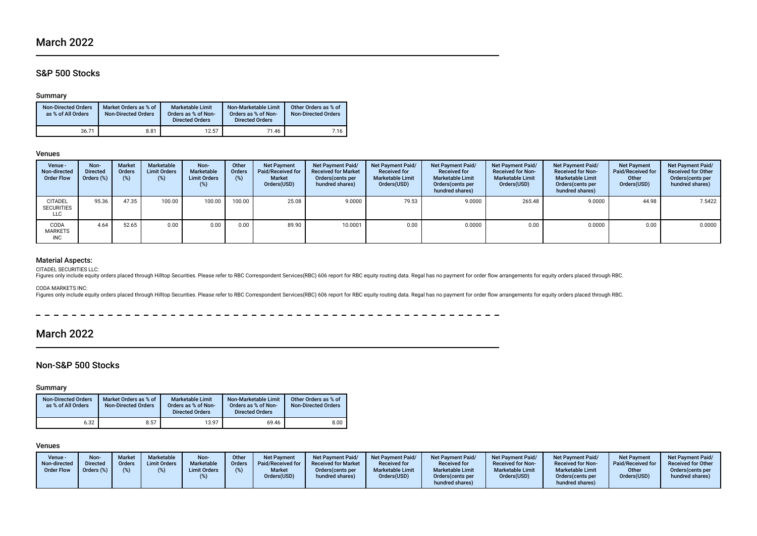## S&P 500 Stocks

#### Summary

| <b>Non-Directed Orders</b><br>as % of All Orders | Market Orders as % of<br><b>Non-Directed Orders</b> | <b>Marketable Limit</b><br>Orders as % of Non-<br><b>Directed Orders</b> | Non-Marketable Limit<br>Orders as % of Non-<br><b>Directed Orders</b> | Other Orders as % of<br><b>Non-Directed Orders</b> |
|--------------------------------------------------|-----------------------------------------------------|--------------------------------------------------------------------------|-----------------------------------------------------------------------|----------------------------------------------------|
| 36.71                                            | 8.81                                                | 12.57                                                                    | 71.46                                                                 | 7.16                                               |

#### Venues

| Venue -<br>Non-directed<br><b>Order Flow</b> | Non-<br><b>Directed</b><br>Orders (%) | <b>Market</b><br><b>Orders</b><br>(9) | Marketable<br><b>Limit Orders</b><br>(%) | Non-<br>Marketable<br><b>Limit Orders</b><br>(%) | Other<br>Orders<br>(%) | <b>Net Payment</b><br>Paid/Received for<br><b>Market</b><br>Orders(USD) | <b>Net Payment Paid/</b><br><b>Received for Market</b><br>Orders (cents per<br>hundred shares) | Net Payment Paid/<br><b>Received for</b><br><b>Marketable Limit</b><br>Orders(USD) | Net Payment Paid/<br><b>Received for</b><br><b>Marketable Limit</b><br>Orders (cents per<br>hundred shares) | <b>Net Payment Paid/</b><br><b>Received for Non-</b><br><b>Marketable Limit</b><br>Orders(USD) | <b>Net Payment Paid/</b><br><b>Received for Non-</b><br><b>Marketable Limit</b><br>Orders (cents per<br>hundred shares) | <b>Net Payment</b><br><b>Paid/Received for</b><br>Other<br>Orders(USD) | Net Payment Paid/<br><b>Received for Other</b><br>Orders(cents per<br>hundred shares) |
|----------------------------------------------|---------------------------------------|---------------------------------------|------------------------------------------|--------------------------------------------------|------------------------|-------------------------------------------------------------------------|------------------------------------------------------------------------------------------------|------------------------------------------------------------------------------------|-------------------------------------------------------------------------------------------------------------|------------------------------------------------------------------------------------------------|-------------------------------------------------------------------------------------------------------------------------|------------------------------------------------------------------------|---------------------------------------------------------------------------------------|
| <b>CITADEL</b><br><b>SECURITIES</b><br>LLC   | 95.36                                 | 47.35                                 | 100.00                                   | 100.00                                           | 100.00                 | 25.08                                                                   | 9.0000                                                                                         | 79.53                                                                              | 9.0000                                                                                                      | 265.48                                                                                         | 9.0000                                                                                                                  | 44.98                                                                  | 7.5422                                                                                |
| CODA<br><b>MARKETS</b><br><b>INC</b>         | 4.64                                  | 52.65                                 | 0.00                                     | 0.00                                             | 0.00                   | 89.90                                                                   | 10.0001                                                                                        | 0.00                                                                               | 0.0000                                                                                                      | 0.00                                                                                           | 0.0000                                                                                                                  | 0.00                                                                   | 0.0000                                                                                |

#### Material Aspects:

CITADEL SECURITIES LLC:

Figures only include equity orders placed through Hilltop Securities. Please refer to RBC Correspondent Services(RBC) 606 report for RBC equity routing data. Regal has no payment for order flow arrangements for equity orde

CODA MARKETS INC:

Figures only include equity orders placed through Hilltop Securities. Please refer to RBC Correspondent Services(RBC) 606 report for RBC equity routing data. Regal has no payment for order flow arrangements for equity orde

 $\sim$   $\sim$  $\frac{1}{2}$ 

## March 2022

### Non-S&P 500 Stocks

#### Summary

| <b>Non-Directed Orders</b><br>as % of All Orders | Market Orders as % of<br><b>Non-Directed Orders</b> | <b>Marketable Limit</b><br>Orders as % of Non-<br><b>Directed Orders</b> | Non-Marketable Limit<br>Orders as % of Non-<br><b>Directed Orders</b> | Other Orders as % of<br><b>Non-Directed Orders</b> |
|--------------------------------------------------|-----------------------------------------------------|--------------------------------------------------------------------------|-----------------------------------------------------------------------|----------------------------------------------------|
| 6.32                                             | 8.57                                                | 13.97                                                                    | 69.46                                                                 | 8.00                                               |

#### Venues

| Venue -<br>Non-directed<br><b>Order Flow</b> | Non-<br><b>Directed</b><br>Orders (%) | <b>Market</b><br><b>Orders</b> | Marketable<br><b>Limit Orders</b> | Non-<br>Marketable<br><b>Limit Orders</b> | Other<br>Orders<br>(%) | <b>Net Payment</b><br>Paid/Received for<br><b>Market</b><br>Orders(USD) | <b>Net Payment Paid/</b><br><b>Received for Market</b><br>Orders (cents per<br>hundred shares) | Net Payment Paid/<br><b>Received for</b><br><b>Marketable Limit</b><br>Orders(USD) | Net Payment Paid<br><b>Received for</b><br><b>Marketable Limit</b><br>Orders(cents per | <b>Net Payment Paid/</b><br><b>Received for Non-</b><br><b>Marketable Limit</b><br>Orders(USD) | <b>Net Payment Paid/</b><br><b>Received for Non-</b><br><b>Marketable Limit</b><br>Orders (cents per | Net Payment<br>Paid/Received for<br>Other<br>Orders(USD) | <b>Net Payment Paid/</b><br><b>Received for Other</b><br>Orders (cents per<br>hundred shares) |
|----------------------------------------------|---------------------------------------|--------------------------------|-----------------------------------|-------------------------------------------|------------------------|-------------------------------------------------------------------------|------------------------------------------------------------------------------------------------|------------------------------------------------------------------------------------|----------------------------------------------------------------------------------------|------------------------------------------------------------------------------------------------|------------------------------------------------------------------------------------------------------|----------------------------------------------------------|-----------------------------------------------------------------------------------------------|
|                                              |                                       |                                |                                   |                                           |                        |                                                                         |                                                                                                |                                                                                    | hundred shares)                                                                        |                                                                                                | hundred shares)                                                                                      |                                                          |                                                                                               |